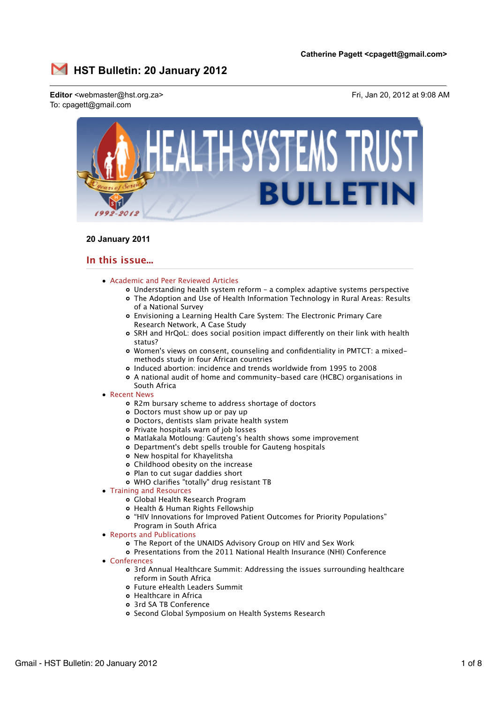

# **20 January 2011**

# **In this issue...**

- Academic and Peer Reviewed Articles
	- Understanding health system reform a complex adaptive systems perspective
	- The Adoption and Use of Health Information Technology in Rural Areas: Results of a National Survey
	- Envisioning a Learning Health Care System: The Electronic Primary Care Research Network, A Case Study
	- o SRH and HrQoL: does social position impact differently on their link with health status?
	- Women's views on consent, counseling and confidentiality in PMTCT: a mixedmethods study in four African countries
	- Induced abortion: incidence and trends worldwide from 1995 to 2008
	- A national audit of home and community-based care (HCBC) organisations in South Africa
- Recent News
	- R2m bursary scheme to address shortage of doctors
	- Doctors must show up or pay up
	- Doctors, dentists slam private health system
	- Private hospitals warn of job losses
	- Matlakala Motloung: Gauteng's health shows some improvement
	- Department's debt spells trouble for Gauteng hospitals
	- New hospital for Khayelitsha
	- Childhood obesity on the increase
	- Plan to cut sugar daddies short
	- WHO clarifies "totally" drug resistant TB
- Training and Resources
	- Global Health Research Program
	- o Health & Human Rights Fellowship
	- "HIV Innovations for Improved Patient Outcomes for Priority Populations" Program in South Africa
- Reports and Publications
	- The Report of the UNAIDS Advisory Group on HIV and Sex Work
	- Presentations from the 2011 National Health Insurance (NHI) Conference
- Conferences
	- 3rd Annual Healthcare Summit: Addressing the issues surrounding healthcare reform in South Africa
	- Future eHealth Leaders Summit
	- Healthcare in Africa
	- 3rd SA TB Conference
	- o Second Global Symposium on Health Systems Research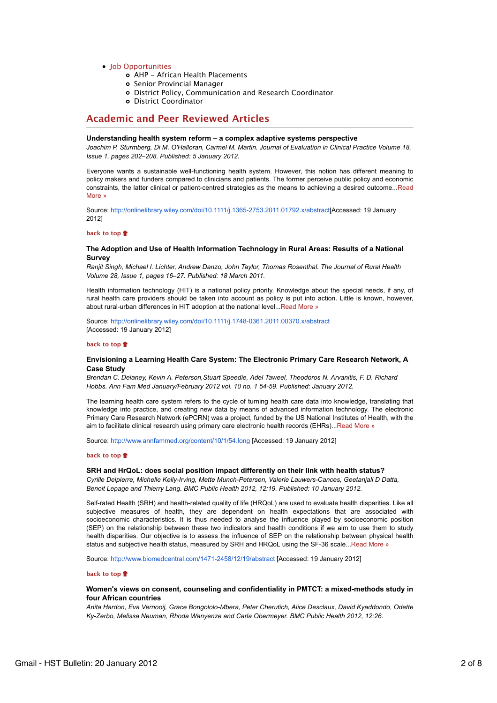## • Job Opportunities

- AHP African Health Placements
- o Senior Provincial Manager
- District Policy, Communication and Research Coordinator
- District Coordinator

# **Academic and Peer Reviewed Articles**

### **Understanding health system reform – a complex adaptive systems perspective**

*Joachim P. Sturmberg, Di M. O'Halloran, Carmel M. Martin. Journal of Evaluation in Clinical Practice Volume 18, Issue 1, pages 202–208. Published: 5 January 2012.*

Everyone wants a sustainable well-functioning health system. However, this notion has different meaning to policy makers and funders compared to clinicians and patients. The former perceive public policy and economic constraints, the latter clinical or patient-centred strategies as the means to achieving a desired outcome...Read More »

Source: http://onlinelibrary.wiley.com/doi/10.1111/j.1365-2753.2011.01792.x/abstract[Accessed: 19 January 2012]

# **back to top**

## **The Adoption and Use of Health Information Technology in Rural Areas: Results of a National Survey**

*Ranjit Singh, Michael I. Lichter, Andrew Danzo, John Taylor, Thomas Rosenthal. The Journal of Rural Health Volume 28, Issue 1, pages 16–27. Published: 18 March 2011.*

Health information technology (HIT) is a national policy priority. Knowledge about the special needs, if any, of rural health care providers should be taken into account as policy is put into action. Little is known, however, about rural-urban differences in HIT adoption at the national level...Read More »

Source: http://onlinelibrary.wiley.com/doi/10.1111/j.1748-0361.2011.00370.x/abstract [Accessed: 19 January 2012]

# **back to top**

# **Envisioning a Learning Health Care System: The Electronic Primary Care Research Network, A Case Study**

*Brendan C. Delaney, Kevin A. Peterson,Stuart Speedie, Adel Taweel, Theodoros N. Arvanitis, F. D. Richard Hobbs. Ann Fam Med January/February 2012 vol. 10 no. 1 54-59. Published: January 2012.*

The learning health care system refers to the cycle of turning health care data into knowledge, translating that knowledge into practice, and creating new data by means of advanced information technology. The electronic Primary Care Research Network (ePCRN) was a project, funded by the US National Institutes of Health, with the aim to facilitate clinical research using primary care electronic health records (EHRs)...Read More »

Source: http://www.annfammed.org/content/10/1/54.long [Accessed: 19 January 2012]

# **back to top**

# **SRH and HrQoL: does social position impact differently on their link with health status?**

*Cyrille Delpierre, Michelle Kelly-Irving, Mette Munch-Petersen, Valerie Lauwers-Cances, Geetanjali D Datta, Benoit Lepage and Thierry Lang. BMC Public Health 2012, 12:19. Published: 10 January 2012.*

Self-rated Health (SRH) and health-related quality of life (HRQoL) are used to evaluate health disparities. Like all subjective measures of health, they are dependent on health expectations that are associated with socioeconomic characteristics. It is thus needed to analyse the influence played by socioeconomic position (SEP) on the relationship between these two indicators and health conditions if we aim to use them to study health disparities. Our objective is to assess the influence of SEP on the relationship between physical health status and subjective health status, measured by SRH and HRQoL using the SF-36 scale...Read More »

Source: http://www.biomedcentral.com/1471-2458/12/19/abstract [Accessed: 19 January 2012]

### **back to top**

# **Women's views on consent, counseling and confidentiality in PMTCT: a mixed-methods study in four African countries**

*Anita Hardon, Eva Vernooij, Grace Bongololo-Mbera, Peter Cherutich, Alice Desclaux, David Kyaddondo, Odette Ky-Zerbo, Melissa Neuman, Rhoda Wanyenze and Carla Obermeyer. BMC Public Health 2012, 12:26.*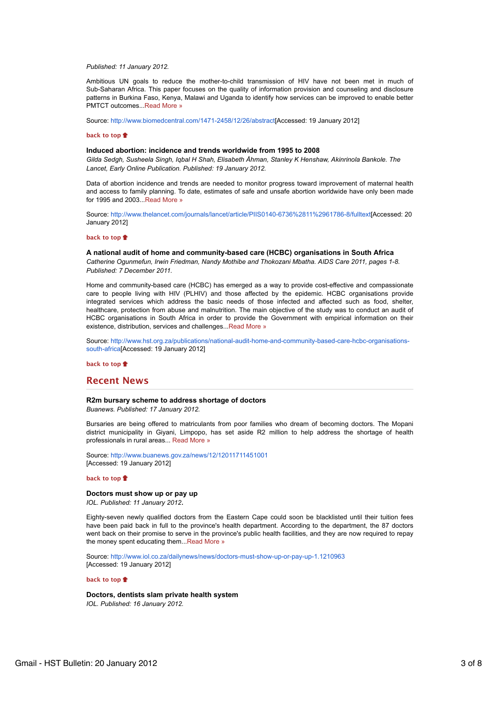### *Published: 11 January 2012.*

Ambitious UN goals to reduce the mother-to-child transmission of HIV have not been met in much of Sub-Saharan Africa. This paper focuses on the quality of information provision and counseling and disclosure patterns in Burkina Faso, Kenya, Malawi and Uganda to identify how services can be improved to enable better PMTCT outcomes...Read More »

Source: http://www.biomedcentral.com/1471-2458/12/26/abstract[Accessed: 19 January 2012]

#### **back to top**

## **Induced abortion: incidence and trends worldwide from 1995 to 2008**

*Gilda Sedgh, Susheela Singh, Iqbal H Shah, Elisabeth Åhman, Stanley K Henshaw, Akinrinola Bankole. The Lancet, Early Online Publication. Published: 19 January 2012.*

Data of abortion incidence and trends are needed to monitor progress toward improvement of maternal health and access to family planning. To date, estimates of safe and unsafe abortion worldwide have only been made for 1995 and 2003...Read More »

Source: http://www.thelancet.com/journals/lancet/article/PIIS0140-6736%2811%2961786-8/fulltext[Accessed: 20 January 2012]

### **back to top**

# **A national audit of home and community-based care (HCBC) organisations in South Africa**

*Catherine Ogunmefun, Irwin Friedman, Nandy Mothibe and Thokozani Mbatha. AIDS Care 2011, pages 1-8. Published: 7 December 2011.*

Home and community-based care (HCBC) has emerged as a way to provide cost-effective and compassionate care to people living with HIV (PLHIV) and those affected by the epidemic. HCBC organisations provide integrated services which address the basic needs of those infected and affected such as food, shelter, healthcare, protection from abuse and malnutrition. The main objective of the study was to conduct an audit of HCBC organisations in South Africa in order to provide the Government with empirical information on their existence, distribution, services and challenges...Read More »

Source: http://www.hst.org.za/publications/national-audit-home-and-community-based-care-hcbc-organisationssouth-africa[Accessed: 19 January 2012]

**back to top**

# **Recent News**

## **R2m bursary scheme to address shortage of doctors**

*Buanews. Published: 17 January 2012.*

Bursaries are being offered to matriculants from poor families who dream of becoming doctors. The Mopani district municipality in Giyani, Limpopo, has set aside R2 million to help address the shortage of health professionals in rural areas... Read More »

Source: http://www.buanews.gov.za/news/12/12011711451001 [Accessed: 19 January 2012]

### **back to top**

**Doctors must show up or pay up** *IOL. Published: 11 January 2012*.

Eighty-seven newly qualified doctors from the Eastern Cape could soon be blacklisted until their tuition fees have been paid back in full to the province's health department. According to the department, the 87 doctors went back on their promise to serve in the province's public health facilities, and they are now required to repay the money spent educating them...Read More »

Source: http://www.iol.co.za/dailynews/news/doctors-must-show-up-or-pay-up-1.1210963 [Accessed: 19 January 2012]

### **back to top**

**Doctors, dentists slam private health system** *IOL. Published: 16 January 2012.*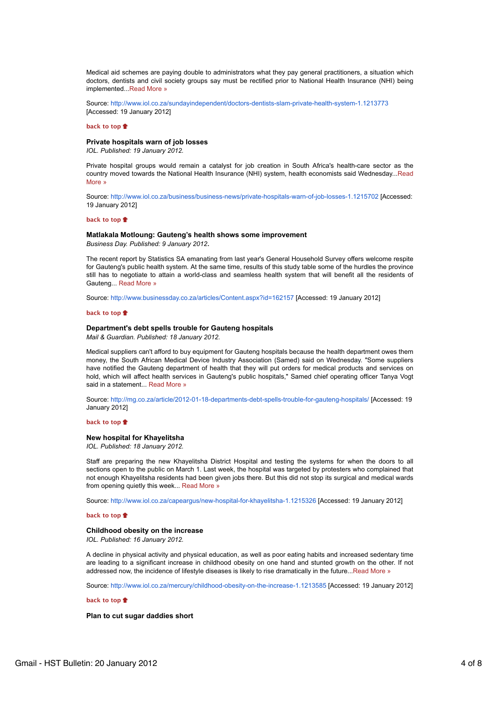Medical aid schemes are paying double to administrators what they pay general practitioners, a situation which doctors, dentists and civil society groups say must be rectified prior to National Health Insurance (NHI) being implemented...Read More »

Source: http://www.iol.co.za/sundayindependent/doctors-dentists-slam-private-health-system-1.1213773 [Accessed: 19 January 2012]

### **back to top**

## **Private hospitals warn of job losses**

*IOL. Published: 19 January 2012.*

Private hospital groups would remain a catalyst for job creation in South Africa's health-care sector as the country moved towards the National Health Insurance (NHI) system, health economists said Wednesday...Read More »

Source: http://www.iol.co.za/business/business-news/private-hospitals-warn-of-job-losses-1.1215702 [Accessed: 19 January 2012]

### **back to top**

## **Matlakala Motloung: Gauteng's health shows some improvement**

*Business Day. Published: 9 January 2012*.

The recent report by Statistics SA emanating from last year's General Household Survey offers welcome respite for Gauteng's public health system. At the same time, results of this study table some of the hurdles the province still has to negotiate to attain a world-class and seamless health system that will benefit all the residents of Gauteng... Read More »

Source: http://www.businessday.co.za/articles/Content.aspx?id=162157 [Accessed: 19 January 2012]

#### **back to top**

# **Department's debt spells trouble for Gauteng hospitals**

*Mail & Guardian. Published: 18 January 2012.*

Medical suppliers can't afford to buy equipment for Gauteng hospitals because the health department owes them money, the South African Medical Device Industry Association (Samed) said on Wednesday. "Some suppliers have notified the Gauteng department of health that they will put orders for medical products and services on hold, which will affect health services in Gauteng's public hospitals," Samed chief operating officer Tanya Vogt said in a statement. Read More »

Source: http://mg.co.za/article/2012-01-18-departments-debt-spells-trouble-for-gauteng-hospitals/ [Accessed: 19 January 2012]

**back to top**

#### **New hospital for Khayelitsha**

*IOL. Published: 18 January 2012.*

Staff are preparing the new Khayelitsha District Hospital and testing the systems for when the doors to all sections open to the public on March 1. Last week, the hospital was targeted by protesters who complained that not enough Khayelitsha residents had been given jobs there. But this did not stop its surgical and medical wards from opening quietly this week... Read More »

Source: http://www.iol.co.za/capeargus/new-hospital-for-khayelitsha-1.1215326 [Accessed: 19 January 2012]

**back to top**

### **Childhood obesity on the increase**

*IOL. Published: 16 January 2012.*

A decline in physical activity and physical education, as well as poor eating habits and increased sedentary time are leading to a significant increase in childhood obesity on one hand and stunted growth on the other. If not addressed now, the incidence of lifestyle diseases is likely to rise dramatically in the future...Read More »

Source: http://www.iol.co.za/mercury/childhood-obesity-on-the-increase-1.1213585 [Accessed: 19 January 2012]

# **back to top**

# **Plan to cut sugar daddies short**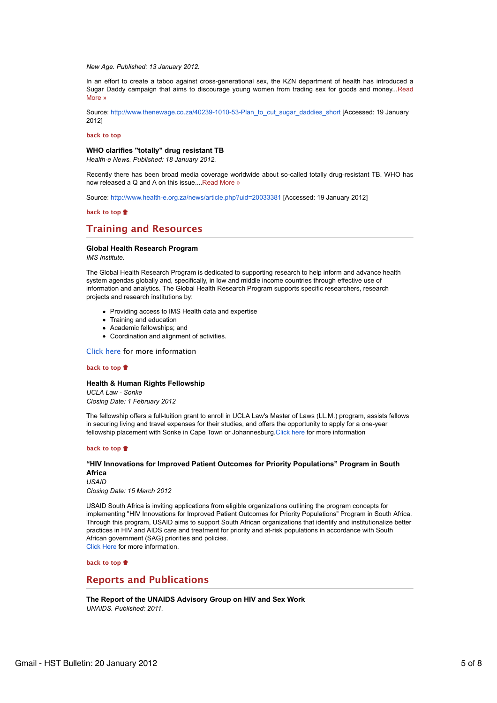*New Age. Published: 13 January 2012.*

In an effort to create a taboo against cross-generational sex, the KZN department of health has introduced a Sugar Daddy campaign that aims to discourage young women from trading sex for goods and money...Read More »

Source: http://www.thenewage.co.za/40239-1010-53-Plan\_to\_cut\_sugar\_daddies\_short [Accessed: 19 January 2012]

**back to top**

# **WHO clarifies "totally" drug resistant TB**

*Health-e News. Published: 18 January 2012.*

Recently there has been broad media coverage worldwide about so-called totally drug-resistant TB. WHO has now released a Q and A on this issue....Read More »

Source: http://www.health-e.org.za/news/article.php?uid=20033381 [Accessed: 19 January 2012]

**back to top**

# **Training and Resources**

# **Global Health Research Program**

*IMS Institute.*

The Global Health Research Program is dedicated to supporting research to help inform and advance health system agendas globally and, specifically, in low and middle income countries through effective use of information and analytics. The Global Health Research Program supports specific researchers, research projects and research institutions by:

- Providing access to IMS Health data and expertise
- Training and education
- Academic fellowships; and
- Coordination and alignment of activities.

Click here for more information

### **back to top**

# **Health & Human Rights Fellowship**

*UCLA Law - Sonke Closing Date: 1 February 2012*

The fellowship offers a full-tuition grant to enroll in UCLA Law's Master of Laws (LL.M.) program, assists fellows in securing living and travel expenses for their studies, and offers the opportunity to apply for a one-year fellowship placement with Sonke in Cape Town or Johannesburg.Click here for more information

### **back to top**

# **"HIV Innovations for Improved Patient Outcomes for Priority Populations" Program in South**

**Africa** *USAID Closing Date: 15 March 2012*

USAID South Africa is inviting applications from eligible organizations outlining the program concepts for implementing "HIV Innovations for Improved Patient Outcomes for Priority Populations" Program in South Africa. Through this program, USAID aims to support South African organizations that identify and institutionalize better practices in HIV and AIDS care and treatment for priority and at-risk populations in accordance with South African government (SAG) priorities and policies. Click Here for more information.

**back to top**

# **Reports and Publications**

**The Report of the UNAIDS Advisory Group on HIV and Sex Work** *UNAIDS. Published: 2011.*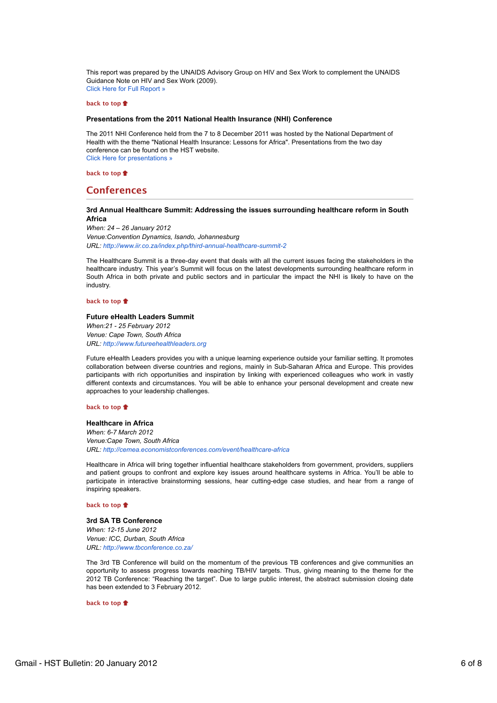This report was prepared by the UNAIDS Advisory Group on HIV and Sex Work to complement the UNAIDS Guidance Note on HIV and Sex Work (2009). Click Here for Full Report »

### **back to top**

# **Presentations from the 2011 National Health Insurance (NHI) Conference**

The 2011 NHI Conference held from the 7 to 8 December 2011 was hosted by the National Department of Health with the theme "National Health Insurance: Lessons for Africa". Presentations from the two day conference can be found on the HST website. Click Here for presentations »

**back to top**

# **Conferences**

### **3rd Annual Healthcare Summit: Addressing the issues surrounding healthcare reform in South Africa**

*When: 24 – 26 January 2012 Venue:Convention Dynamics, Isando, Johannesburg URL: http://www.iir.co.za/index.php/third-annual-healthcare-summit-2*

The Healthcare Summit is a three-day event that deals with all the current issues facing the stakeholders in the healthcare industry. This year's Summit will focus on the latest developments surrounding healthcare reform in South Africa in both private and public sectors and in particular the impact the NHI is likely to have on the industry.

### **back to top**

## **Future eHealth Leaders Summit**

*When:21 - 25 February 2012 Venue: Cape Town, South Africa URL: http://www.futureehealthleaders.org*

Future eHealth Leaders provides you with a unique learning experience outside your familiar setting. It promotes collaboration between diverse countries and regions, mainly in Sub-Saharan Africa and Europe. This provides participants with rich opportunities and inspiration by linking with experienced colleagues who work in vastly different contexts and circumstances. You will be able to enhance your personal development and create new approaches to your leadership challenges.

# **back to top**

**Healthcare in Africa** *When: 6-7 March 2012 Venue:Cape Town, South Africa URL: http://cemea.economistconferences.com/event/healthcare-africa*

Healthcare in Africa will bring together influential healthcare stakeholders from government, providers, suppliers and patient groups to confront and explore key issues around healthcare systems in Africa. You'll be able to participate in interactive brainstorming sessions, hear cutting-edge case studies, and hear from a range of inspiring speakers.

### **back to top**

# **3rd SA TB Conference**

*When: 12-15 June 2012 Venue: ICC, Durban, South Africa URL: http://www.tbconference.co.za/*

The 3rd TB Conference will build on the momentum of the previous TB conferences and give communities an opportunity to assess progress towards reaching TB/HIV targets. Thus, giving meaning to the theme for the 2012 TB Conference: "Reaching the target". Due to large public interest, the abstract submission closing date has been extended to 3 February 2012.

**back to top**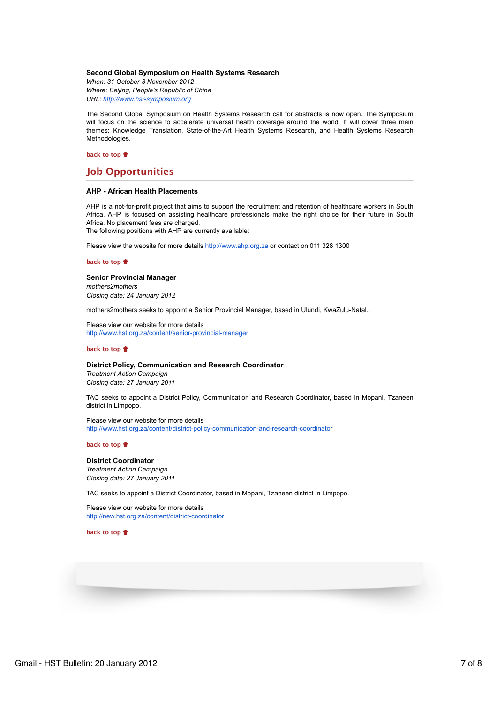# **Second Global Symposium on Health Systems Research**

*When: 31 October-3 November 2012 Where: Beijing, People's Republic of China URL: http://www.hsr-symposium.org*

The Second Global Symposium on Health Systems Research call for abstracts is now open. The Symposium will focus on the science to accelerate universal health coverage around the world. It will cover three main themes: Knowledge Translation, State-of-the-Art Health Systems Research, and Health Systems Research Methodologies.

**back to top**

# **Job Opportunities**

### **AHP - African Health Placements**

AHP is a not-for-profit project that aims to support the recruitment and retention of healthcare workers in South Africa. AHP is focused on assisting healthcare professionals make the right choice for their future in South Africa. No placement fees are charged.

The following positions with AHP are currently available:

Please view the website for more details http://www.ahp.org.za or contact on 011 328 1300

### **back to top**

# **Senior Provincial Manager**

*mothers2mothers Closing date: 24 January 2012*

mothers2mothers seeks to appoint a Senior Provincial Manager, based in Ulundi, KwaZulu-Natal..

Please view our website for more details http://www.hst.org.za/content/senior-provincial-manager

# **back to top**

## **District Policy, Communication and Research Coordinator**

*Treatment Action Campaign Closing date: 27 January 2011*

TAC seeks to appoint a District Policy, Communication and Research Coordinator, based in Mopani, Tzaneen district in Limpopo.

Please view our website for more details http://www.hst.org.za/content/district-policy-communication-and-research-coordinator

### **back to top**

# **District Coordinator**

*Treatment Action Campaign Closing date: 27 January 2011*

TAC seeks to appoint a District Coordinator, based in Mopani, Tzaneen district in Limpopo.

Please view our website for more details http://new.hst.org.za/content/district-coordinator

**back to top**